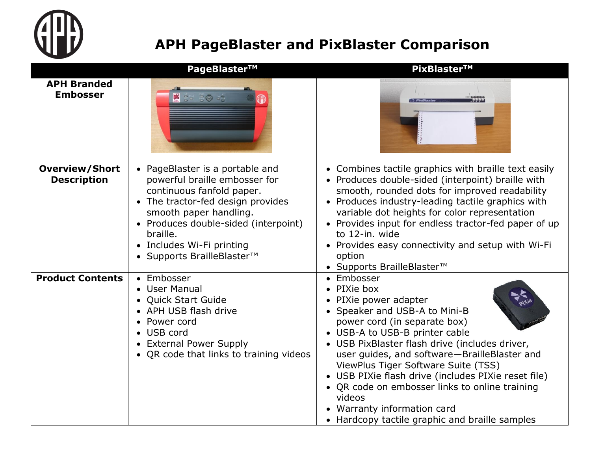

## **APH PageBlaster and PixBlaster Comparison**

|                                             | PageBlaster™                                                                                                                                                                                                                                                                | PixBlaster™                                                                                                                                                                                                                                                                                                                                                                                                                                                                                               |
|---------------------------------------------|-----------------------------------------------------------------------------------------------------------------------------------------------------------------------------------------------------------------------------------------------------------------------------|-----------------------------------------------------------------------------------------------------------------------------------------------------------------------------------------------------------------------------------------------------------------------------------------------------------------------------------------------------------------------------------------------------------------------------------------------------------------------------------------------------------|
| <b>APH Branded</b><br><b>Embosser</b>       | <b>B</b> San Signal                                                                                                                                                                                                                                                         |                                                                                                                                                                                                                                                                                                                                                                                                                                                                                                           |
| <b>Overview/Short</b><br><b>Description</b> | • PageBlaster is a portable and<br>powerful braille embosser for<br>continuous fanfold paper.<br>• The tractor-fed design provides<br>smooth paper handling.<br>• Produces double-sided (interpoint)<br>braille.<br>• Includes Wi-Fi printing<br>• Supports BrailleBlaster™ | • Combines tactile graphics with braille text easily<br>• Produces double-sided (interpoint) braille with<br>smooth, rounded dots for improved readability<br>• Produces industry-leading tactile graphics with<br>variable dot heights for color representation<br>• Provides input for endless tractor-fed paper of up<br>to 12-in. wide<br>• Provides easy connectivity and setup with Wi-Fi<br>option<br>• Supports BrailleBlaster™                                                                   |
| <b>Product Contents</b>                     | • Embosser<br>• User Manual<br>• Quick Start Guide<br>• APH USB flash drive<br>• Power cord<br>• USB cord<br>• External Power Supply<br>• QR code that links to training videos                                                                                             | Embosser<br>$\bullet$<br>PIXie box<br>PIXie power adapter<br>• Speaker and USB-A to Mini-B<br>power cord (in separate box)<br>• USB-A to USB-B printer cable<br>• USB PixBlaster flash drive (includes driver,<br>user guides, and software-BrailleBlaster and<br>ViewPlus Tiger Software Suite (TSS)<br>• USB PIXie flash drive (includes PIXie reset file)<br>• QR code on embosser links to online training<br>videos<br>• Warranty information card<br>• Hardcopy tactile graphic and braille samples |